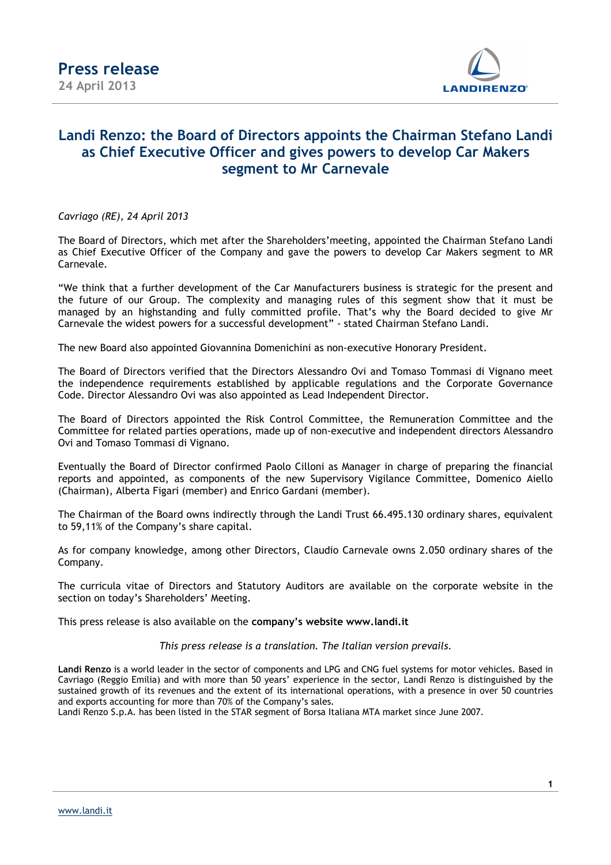

## **Landi Renzo: the Board of Directors appoints the Chairman Stefano Landi as Chief Executive Officer and gives powers to develop Car Makers segment to Mr Carnevale**

*Cavriago (RE), 24 April 2013* 

The Board of Directors, which met after the Shareholders'meeting, appointed the Chairman Stefano Landi as Chief Executive Officer of the Company and gave the powers to develop Car Makers segment to MR Carnevale.

"We think that a further development of the Car Manufacturers business is strategic for the present and the future of our Group. The complexity and managing rules of this segment show that it must be managed by an highstanding and fully committed profile. That's why the Board decided to give Mr Carnevale the widest powers for a successful development" - stated Chairman Stefano Landi.

The new Board also appointed Giovannina Domenichini as non-executive Honorary President.

The Board of Directors verified that the Directors Alessandro Ovi and Tomaso Tommasi di Vignano meet the independence requirements established by applicable regulations and the Corporate Governance Code. Director Alessandro Ovi was also appointed as Lead Independent Director.

The Board of Directors appointed the Risk Control Committee, the Remuneration Committee and the Committee for related parties operations, made up of non-executive and independent directors Alessandro Ovi and Tomaso Tommasi di Vignano.

Eventually the Board of Director confirmed Paolo Cilloni as Manager in charge of preparing the financial reports and appointed, as components of the new Supervisory Vigilance Committee, Domenico Aiello (Chairman), Alberta Figari (member) and Enrico Gardani (member).

The Chairman of the Board owns indirectly through the Landi Trust 66.495.130 ordinary shares, equivalent to 59,11% of the Company's share capital.

As for company knowledge, among other Directors, Claudio Carnevale owns 2.050 ordinary shares of the Company.

The curricula vitae of Directors and Statutory Auditors are available on the corporate website in the section on today's Shareholders' Meeting.

This press release is also available on the **company's website www.landi.it** 

*This press release is a translation. The Italian version prevails.* 

**Landi Renzo** is a world leader in the sector of components and LPG and CNG fuel systems for motor vehicles. Based in Cavriago (Reggio Emilia) and with more than 50 years' experience in the sector, Landi Renzo is distinguished by the sustained growth of its revenues and the extent of its international operations, with a presence in over 50 countries and exports accounting for more than 70% of the Company's sales.

Landi Renzo S.p.A. has been listed in the STAR segment of Borsa Italiana MTA market since June 2007.